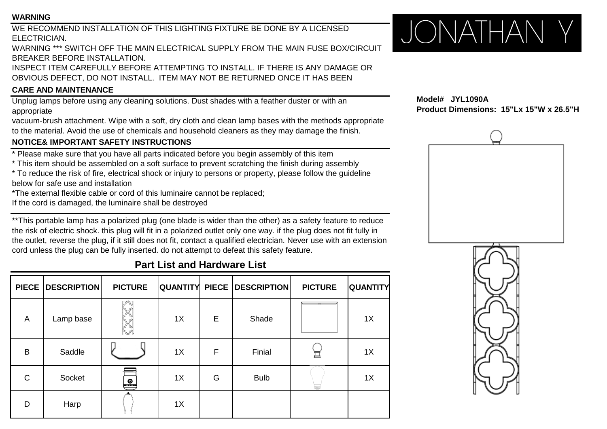#### **WARNING**

WE RECOMMEND INSTALLATION OF THIS LIGHTING FIXTURE BE DONE BY A LICENSED ELECTRICIAN.

WARNING \*\*\* SWITCH OFF THE MAIN ELECTRICAL SUPPLY FROM THE MAIN FUSE BOX/CIRCUIT BREAKER BEFORE INSTALLATION.

INSPECT ITEM CAREFULLY BEFORE ATTEMPTING TO INSTALL. IF THERE IS ANY DAMAGE OR OBVIOUS DEFECT, DO NOT INSTALL. ITEM MAY NOT BE RETURNED ONCE IT HAS BEEN

## **CARE AND MAINTENANCE**

Unplug lamps before using any cleaning solutions. Dust shades with a feather duster or with an appropriate

vacuum-brush attachment. Wipe with a soft, dry cloth and clean lamp bases with the methods appropriate to the material. Avoid the use of chemicals and household cleaners as they may damage the finish.

## **NOTICE& IMPORTANT SAFETY INSTRUCTIONS**

\* Please make sure that you have all parts indicated before you begin assembly of this item

\* This item should be assembled on a soft surface to prevent scratching the finish during assembly

\* To reduce the risk of fire, electrical shock or injury to persons or property, please follow the guideline below for safe use and installation

\*The external flexible cable or cord of this luminaire cannot be replaced;

If the cord is damaged, the luminaire shall be destroyed

\*\*This portable lamp has a polarized plug (one blade is wider than the other) as a safety feature to reduce the risk of electric shock. this plug will fit in a polarized outlet only one way. if the plug does not fit fully in the outlet, reverse the plug, if it still does not fit, contact a qualified electrician. Never use with an extension cord unless the plug can be fully inserted. do not attempt to defeat this safety feature.

# **Part List and Hardware List**

| <b>PIECE</b> | <b>DESCRIPTION</b> | <b>PICTURE</b>  |    |   | <b>QUANTITY PIECE DESCRIPTION</b> | <b>PICTURE</b> | <b>QUANTITY</b> |
|--------------|--------------------|-----------------|----|---|-----------------------------------|----------------|-----------------|
| A            | Lamp base          |                 | 1X | E | Shade                             |                | 1X              |
| B            | Saddle             |                 | 1X | F | Finial                            | Ī              | 1X              |
| $\mathsf{C}$ | Socket             | $\boxed{\circ}$ | 1X | G | <b>Bulb</b>                       |                | 1X              |
| D            | Harp               |                 | 1X |   |                                   |                |                 |



**Model# JYL1090A Product Dimensions: 15"Lx 15"W x 26.5"H**